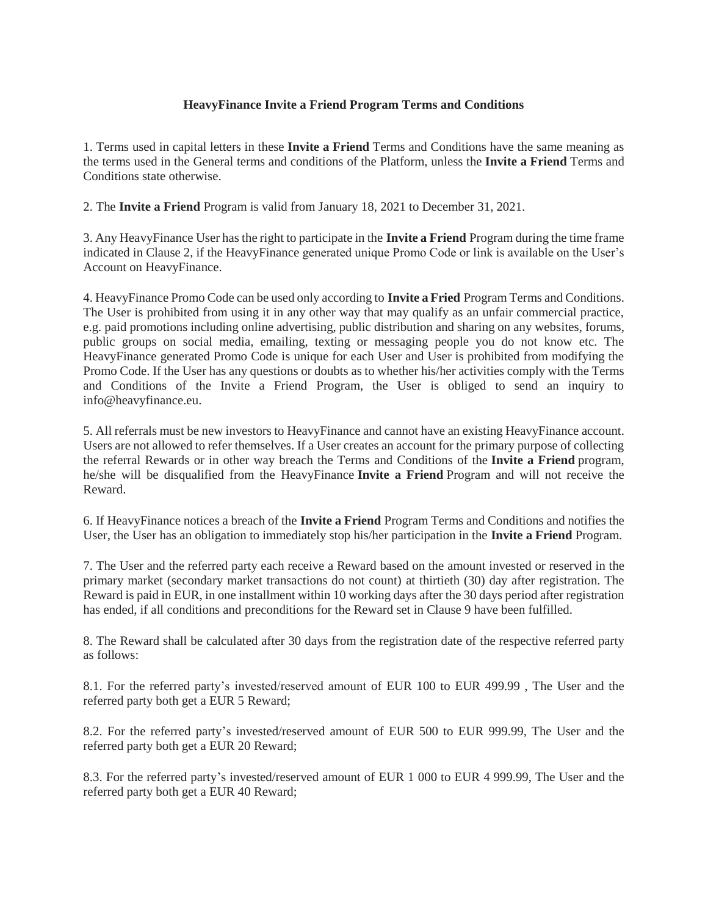## **HeavyFinance Invite a Friend Program Terms and Conditions**

1. Terms used in capital letters in these **Invite a Friend** Terms and Conditions have the same meaning as the terms used in the General terms and conditions of the Platform, unless the **Invite a Friend** Terms and Conditions state otherwise.

2. The **Invite a Friend** Program is valid from January 18, 2021 to December 31, 2021.

3. Any HeavyFinance User has the right to participate in the **Invite a Friend** Program during the time frame indicated in Clause 2, if the HeavyFinance generated unique Promo Code or link is available on the User's Account on HeavyFinance.

4. HeavyFinance Promo Code can be used only according to **Invite a Fried** Program Terms and Conditions. The User is prohibited from using it in any other way that may qualify as an unfair commercial practice, e.g. paid promotions including online advertising, public distribution and sharing on any websites, forums, public groups on social media, emailing, texting or messaging people you do not know etc. The HeavyFinance generated Promo Code is unique for each User and User is prohibited from modifying the Promo Code. If the User has any questions or doubts as to whether his/her activities comply with the Terms and Conditions of the Invite a Friend Program, the User is obliged to send an inquiry to info@heavyfinance.eu.

5. All referrals must be new investors to HeavyFinance and cannot have an existing HeavyFinance account. Users are not allowed to refer themselves. If a User creates an account for the primary purpose of collecting the referral Rewards or in other way breach the Terms and Conditions of the **Invite a Friend** program, he/she will be disqualified from the HeavyFinance **Invite a Friend** Program and will not receive the Reward.

6. If HeavyFinance notices a breach of the **Invite a Friend** Program Terms and Conditions and notifies the User, the User has an obligation to immediately stop his/her participation in the **Invite a Friend** Program.

7. The User and the referred party each receive a Reward based on the amount invested or reserved in the primary market (secondary market transactions do not count) at thirtieth (30) day after registration. The Reward is paid in EUR, in one installment within 10 working days after the 30 days period after registration has ended, if all conditions and preconditions for the Reward set in Clause 9 have been fulfilled.

8. The Reward shall be calculated after 30 days from the registration date of the respective referred party as follows:

8.1. For the referred party's invested/reserved amount of EUR 100 to EUR 499.99 , The User and the referred party both get a EUR 5 Reward;

8.2. For the referred party's invested/reserved amount of EUR 500 to EUR 999.99, The User and the referred party both get a EUR 20 Reward;

8.3. For the referred party's invested/reserved amount of EUR 1 000 to EUR 4 999.99, The User and the referred party both get a EUR 40 Reward;